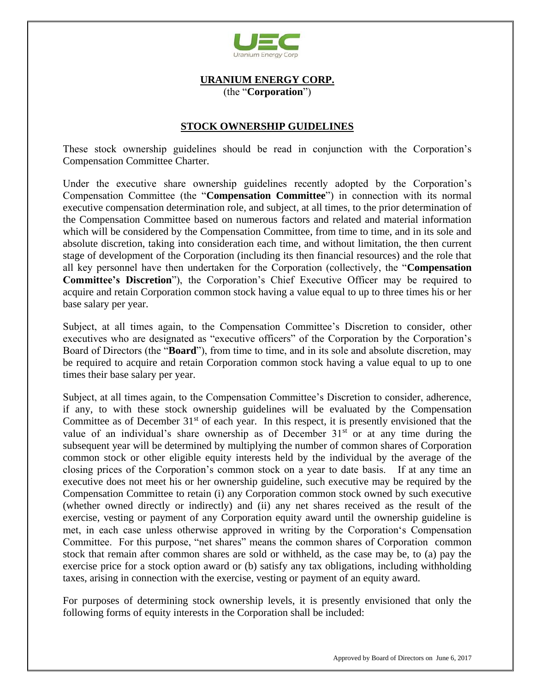

## **URANIUM ENERGY CORP.** (the "**Corporation**")

## **STOCK OWNERSHIP GUIDELINES**

These stock ownership guidelines should be read in conjunction with the Corporation's Compensation Committee Charter.

Under the executive share ownership guidelines recently adopted by the Corporation's Compensation Committee (the "**Compensation Committee**") in connection with its normal executive compensation determination role, and subject, at all times, to the prior determination of the Compensation Committee based on numerous factors and related and material information which will be considered by the Compensation Committee, from time to time, and in its sole and absolute discretion, taking into consideration each time, and without limitation, the then current stage of development of the Corporation (including its then financial resources) and the role that all key personnel have then undertaken for the Corporation (collectively, the "**Compensation Committee's Discretion**"), the Corporation's Chief Executive Officer may be required to acquire and retain Corporation common stock having a value equal to up to three times his or her base salary per year.

Subject, at all times again, to the Compensation Committee's Discretion to consider, other executives who are designated as "executive officers" of the Corporation by the Corporation's Board of Directors (the "**Board**"), from time to time, and in its sole and absolute discretion, may be required to acquire and retain Corporation common stock having a value equal to up to one times their base salary per year.

Subject, at all times again, to the Compensation Committee's Discretion to consider, adherence, if any, to with these stock ownership guidelines will be evaluated by the Compensation Committee as of December 31<sup>st</sup> of each year. In this respect, it is presently envisioned that the value of an individual's share ownership as of December 31<sup>st</sup> or at any time during the subsequent year will be determined by multiplying the number of common shares of Corporation common stock or other eligible equity interests held by the individual by the average of the closing prices of the Corporation's common stock on a year to date basis. If at any time an executive does not meet his or her ownership guideline, such executive may be required by the Compensation Committee to retain (i) any Corporation common stock owned by such executive (whether owned directly or indirectly) and (ii) any net shares received as the result of the exercise, vesting or payment of any Corporation equity award until the ownership guideline is met, in each case unless otherwise approved in writing by the Corporation's Compensation Committee. For this purpose, "net shares" means the common shares of Corporation common stock that remain after common shares are sold or withheld, as the case may be, to (a) pay the exercise price for a stock option award or (b) satisfy any tax obligations, including withholding taxes, arising in connection with the exercise, vesting or payment of an equity award.

For purposes of determining stock ownership levels, it is presently envisioned that only the following forms of equity interests in the Corporation shall be included: